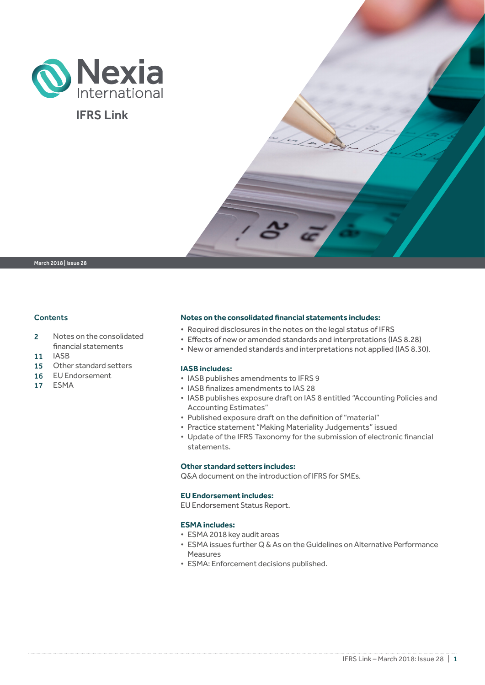

## IFRS Link

March 2018 | Issue 28

### **Contents**

- 2 Notes on the consolidated financial statements
- 11 IASB
- 15 Other standard setters
- 16 EU Endorsement
- 17 ESMA

### **Notes on the consolidated financial statements includes:**

- Required disclosures in the notes on the legal status of IFRS
- Effects of new or amended standards and interpretations (IAS 8.28)
- New or amended standards and interpretations not applied (IAS 8.30).

### **IASB includes:**

- IASB publishes amendments to IFRS 9
- IASB finalizes amendments to IAS 28
- IASB publishes exposure draft on IAS 8 entitled "Accounting Policies and Accounting Estimates"
- Published exposure draft on the definition of "material"
- Practice statement "Making Materiality Judgements" issued
- Update of the IFRS Taxonomy for the submission of electronic financial statements.

### **Other standard setters includes:**

Q&A document on the introduction of IFRS for SMEs.

### **EU Endorsement includes:**

EU Endorsement Status Report.

### **ESMA includes:**

- ESMA 2018 key audit areas
- ESMA issues further Q & As on the Guidelines on Alternative Performance Measures
- ESMA: Enforcement decisions published.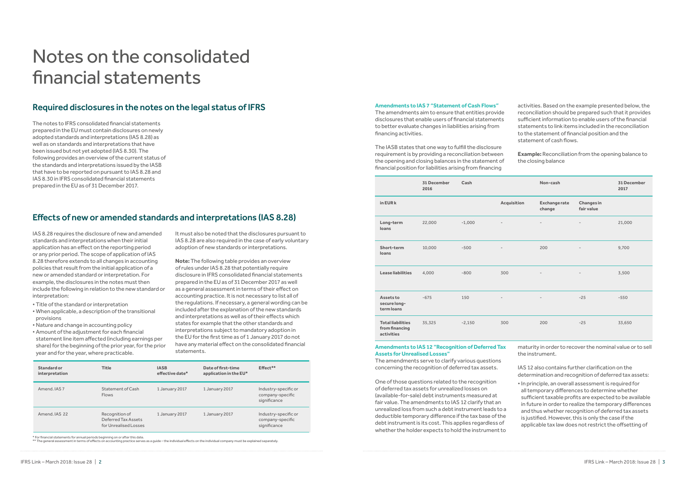The notes to IFRS consolidated financial statements prepared in the EU must contain disclosures on newly adopted standards and interpretations (IAS 8.28) as well as on standards and interpretations that have been issued but not yet adopted (IAS 8.30). The following provides an overview of the current status of the standards and interpretations issued by the IASB that have to be reported on pursuant to IAS 8.28 and IAS 8.30 in IFRS consolidated financial statements prepared in the EU as of 31 December 2017.

# Notes on the consolidated financial statements

## Required disclosures in the notes on the legal status of IFRS

## Effects of new or amended standards and interpretations (IAS 8.28)

IAS 8.28 requires the disclosure of new and amended standards and interpretations when their initial application has an effect on the reporting period or any prior period. The scope of application of IAS 8.28 therefore extends to all changes in accounting policies that result from the initial application of a new or amended standard or interpretation. For example, the disclosures in the notes must then include the following in relation to the new standard or interpretation:

- Title of the standard or interpretation
- When applicable, a description of the transitional provisions
- Nature and change in accounting policy
- Amount of the adjustment for each financial statement line item affected (including earnings per share) for the beginning of the prior year, for the prior year and for the year, where practicable.

It must also be noted that the disclosures pursuant to IAS 8.28 are also required in the case of early voluntary adoption of new standards or interpretations.

**Note:** The following table provides an overview of rules under IAS 8.28 that potentially require disclosure in IFRS consolidated financial statements prepared in the EU as of 31 December 2017 as well as a general assessment in terms of their effect on accounting practice. It is not necessary to list all of the regulations. If necessary, a general wording can be included after the explanation of the new standards and interpretations as well as of their effects which states for example that the other standards and interpretations subject to mandatory adoption in the EU for the first time as of 1 January 2017 do not have any material effect on the consolidated financial statements.

#### **Amendments to IAS 7 "Statement of Cash Flows"**

The amendments aim to ensure that entities provide disclosures that enable users of financial statements to better evaluate changes in liabilities arising from financing activities.

The IASB states that one way to fulfill the disclosure requirement is by providing a reconciliation between the opening and closing balances in the statement of financial position for liabilities arising from financing

activities. Based on the example presented below, the reconciliation should be prepared such that it provides sufficient information to enable users of the financial statements to link items included in the reconciliation to the statement of financial position and the statement of cash flows.

**Example:** Reconciliation from the opening balance to the closing balance

| Standard or<br>interpretation | <b>Title</b>                                                   | <b>IASB</b><br>effective date* | Date of first-time<br>application in the EU* | Effect**                                                 |
|-------------------------------|----------------------------------------------------------------|--------------------------------|----------------------------------------------|----------------------------------------------------------|
| Amend, IAS 7                  | Statement of Cash<br><b>Flows</b>                              | 1 January 2017                 | 1 January 2017                               | Industry-specific or<br>company-specific<br>significance |
| Amend, IAS 22                 | Recognition of<br>Deferred Tax Assets<br>for Unrealised Losses | 1 January 2017                 | 1 January 2017                               | Industry-specific or<br>company-specific<br>significance |

\* For financial statements for annual periods beginning on or after this date.

\*\* The general assessment in terms of effects on accounting practice serves as a guide – the individual effects on the individual company must be explained separately.

|                                                          | 31 December<br>2016 | Cash     |                          | Non-cash                      |                                 | 31 December<br>2017 |
|----------------------------------------------------------|---------------------|----------|--------------------------|-------------------------------|---------------------------------|---------------------|
| in EUR k                                                 |                     |          | Acquisition              | <b>Exchangerate</b><br>change | <b>Changes in</b><br>fair value |                     |
| Long-term<br>loans                                       | 22,000              | $-1,000$ | $\overline{\phantom{a}}$ | $\overline{\phantom{a}}$      | $\overline{\phantom{a}}$        | 21,000              |
| Short-term<br>loans                                      | 10,000              | $-500$   | $\overline{\phantom{a}}$ | 200                           | $\overline{\phantom{a}}$        | 9,700               |
| <b>Lease liabilities</b>                                 | 4,000               | $-800$   | 300                      | $\overline{\phantom{a}}$      | $\overline{\phantom{a}}$        | 3,500               |
| <b>Assets to</b><br>secure long-<br>term loans           | $-675$              | 150      | $\overline{\phantom{a}}$ | $\overline{\phantom{a}}$      | $-25$                           | $-550$              |
| <b>Total liabilities</b><br>from financing<br>activities | 35,325              | $-2,150$ | 300                      | 200                           | $-25$                           | 33,650              |

### **Amendments to IAS 12 "Recognition of Deferred Tax Assets for Unrealised Losses"**

The amendments serve to clarify various questions concerning the recognition of deferred tax assets.

One of those questions related to the recognition of deferred tax assets for unrealized losses on (available-for-sale) debt instruments measured at fair value. The amendments to IAS 12 clarify that an unrealized loss from such a debt instrument leads to a deductible temporary difference if the tax base of the debt instrument is its cost. This applies regardless of whether the holder expects to hold the instrument to

maturity in order to recover the nominal value or to sell the instrument.

IAS 12 also contains further clarification on the determination and recognition of deferred tax assets:

• In principle, an overall assessment is required for all temporary differences to determine whether sufficient taxable profits are expected to be available in future in order to realize the temporary differences and thus whether recognition of deferred tax assets is justified. However, this is only the case if the applicable tax law does not restrict the offsetting of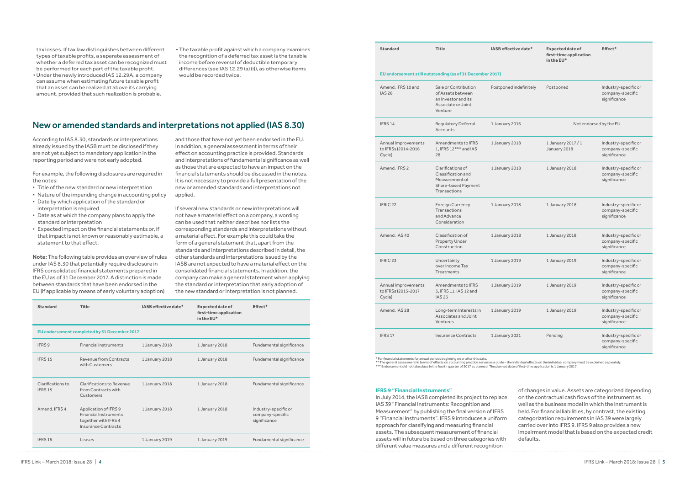### New or amended standards and interpretations not applied (IAS 8.30)

tax losses. If tax law distinguishes between different types of taxable profits, a separate assessment of whether a deferred tax asset can be recognized must be performed for each part of the taxable profit.

- •Under the newly introduced IAS 12.29A, a company can assume when estimating future taxable profit that an asset can be realized at above its carrying amount, provided that such realization is probable.
- The taxable profit against which a company examines the recognition of a deferred tax asset is the taxable income before reversal of deductible temporary differences (see IAS 12.29 (a) (i)), as otherwise items would be recorded twice.

| <b>Standard</b>                                           | <b>Title</b>                                                                                      | IASB effective date*   | <b>Expected date of</b><br>first-time application<br>in the EU* | Effect*                                                  |  |
|-----------------------------------------------------------|---------------------------------------------------------------------------------------------------|------------------------|-----------------------------------------------------------------|----------------------------------------------------------|--|
| EU endorsement still outstanding (as of 31 December 2017) |                                                                                                   |                        |                                                                 |                                                          |  |
| Amend. IFRS 10 and<br><b>IAS 28</b>                       | Sale or Contribution<br>of Assets between<br>an Investor and its<br>Associate or Joint<br>Venture | Postponed indefinitely | Postponed                                                       | Industry-specific or<br>company-specific<br>significance |  |
| IFRS 14                                                   | Regulatory Deferral<br>Accounts                                                                   | 1 January 2016         |                                                                 | Not endorsed by the EU                                   |  |
| Annual Improvements<br>to IFRSs (2014-2016<br>Cycle)      | Amendments to IFRS<br>1, IFRS 12*** and IAS<br>28                                                 | 1 January 2018         | 1 January 2017 / 1<br>January 2018                              | Industry-specific or<br>company-specific<br>significance |  |
| Amend, IFRS 2                                             | Clarifications of<br>Classification and<br>Measurement of<br>Share-based Payment<br>Transactions  | 1 January 2018         | 1 January 2018                                                  | Industry-specific or<br>company-specific<br>significance |  |
| IFRIC <sub>22</sub>                                       | <b>Foreign Currency</b><br>Transactions<br>and Advance<br>Consideration                           | 1 January 2018         | 1 January 2018                                                  | Industry-specific or<br>company-specific<br>significance |  |
| Amend, IAS 40                                             | Classification of<br>Property Under<br>Construction                                               | 1 January 2018         | 1 January 2018                                                  | Industry-specific or<br>company-specific<br>significance |  |
| IFRIC <sub>23</sub>                                       | Uncertainty<br>over Income Tax<br>Treatments                                                      | 1 January 2019         | 1 January 2019                                                  | Industry-specific or<br>company-specific<br>significance |  |
| Annual Improvements<br>to IFRSs (2015-2017<br>Cycle)      | Amendments to IFRS<br>3, IFRS 11, IAS 12 and<br><b>IAS 23</b>                                     | 1 January 2019         | 1 January 2019                                                  | Industry-specific or<br>company-specific<br>significance |  |
| Amend, IAS 28                                             | Long-term Interests in<br>Associates and Joint<br>Ventures                                        | 1 January 2019         | 1 January 2019                                                  | Industry-specific or<br>company-specific<br>significance |  |
| IFRS 17                                                   | <b>Insurance Contracts</b>                                                                        | 1 January 2021         | Pending                                                         | Industry-specific or<br>company-specific<br>significance |  |

| <b>Standard</b>                              | Title                                                                                                | IASB effective date* | <b>Expected date of</b><br>first-time application<br>in the EU* | Effect*                                                  |  |
|----------------------------------------------|------------------------------------------------------------------------------------------------------|----------------------|-----------------------------------------------------------------|----------------------------------------------------------|--|
| EU endorsement completed by 31 December 2017 |                                                                                                      |                      |                                                                 |                                                          |  |
| IFRS 9                                       | <b>Financial Instruments</b>                                                                         | 1 January 2018       | 1 January 2018                                                  | Fundamental significance                                 |  |
| IFRS <sub>15</sub>                           | Revenue from Contracts<br>with Customers                                                             | 1 January 2018       | 1 January 2018                                                  | Fundamental significance                                 |  |
| Clarifications to<br>IFRS <sub>15</sub>      | Clarifications to Revenue<br>from Contracts with<br>Customers                                        | 1 January 2018       | 1 January 2018                                                  | Fundamental significance                                 |  |
| Amend, IFRS 4                                | Application of IFRS 9<br><b>Financial Instruments</b><br>together with IFRS 4<br>Insurance Contracts | 1 January 2018       | 1 January 2018                                                  | Industry-specific or<br>company-specific<br>significance |  |
| IFRS <sub>16</sub>                           | Leases                                                                                               | 1 January 2019       | 1 January 2019                                                  | Fundamental significance                                 |  |

\* For financial statements for annual periods beginning on or after this date.

\*\* The general assessment in terms of effects on accounting practice serves as a guide – the individual effects on the individual company must be explained separately.<br>\*\*\* Endorsement did not take place in the fourth quart

#### **IFRS 9 "Financial Instruments"**

In July 2014, the IASB completed its project to replace IAS 39 "Financial Instruments: Recognition and Measurement" by publishing the final version of IFRS 9 "Financial Instruments". IFRS 9 introduces a uniform approach for classifying and measuring financial assets. The subsequent measurement of financial assets will in future be based on three categories with different value measures and a different recognition

of changes in value. Assets are categorized depending on the contractual cash flows of the instrument as well as the business model in which the instrument is held. For financial liabilities, by contrast, the existing categorization requirements in IAS 39 were largely carried over into IFRS 9. IFRS 9 also provides a new impairment model that is based on the expected credit defaults.

According to IAS 8.30, standards or interpretations already issued by the IASB must be disclosed if they are not yet subject to mandatory application in the reporting period and were not early adopted.

For example, the following disclosures are required in the notes:

- Title of the new standard or new interpretation
- Nature of the impending change in accounting policy
- Date by which application of the standard or interpretation is required
- Date as at which the company plans to apply the standard or interpretation
- Expected impact on the financial statements or, if that impact is not known or reasonably estimable, a statement to that effect.

**Note:** The following table provides an overview of rules under IAS 8.30 that potentially require disclosure in IFRS consolidated financial statements prepared in the EU as of 31 December 2017. A distinction is made between standards that have been endorsed in the EU (if applicable by means of early voluntary adoption)

and those that have not yet been endorsed in the EU. In addition, a general assessment in terms of their effect on accounting practice is provided. Standards and interpretations of fundamental significance as well as those that are expected to have an impact on the financial statements should be discussed in the notes. It is not necessary to provide a full presentation of the new or amended standards and interpretations not applied.

If several new standards or new interpretations will not have a material effect on a company, a wording can be used that neither describes nor lists the corresponding standards and interpretations without a material effect. For example this could take the form of a general statement that, apart from the standards and interpretations described in detail, the other standards and interpretations issued by the IASB are not expected to have a material effect on the consolidated financial statements. In addition, the company can make a general statement when applying the standard or interpretation that early adoption of the new standard or interpretation is not planned.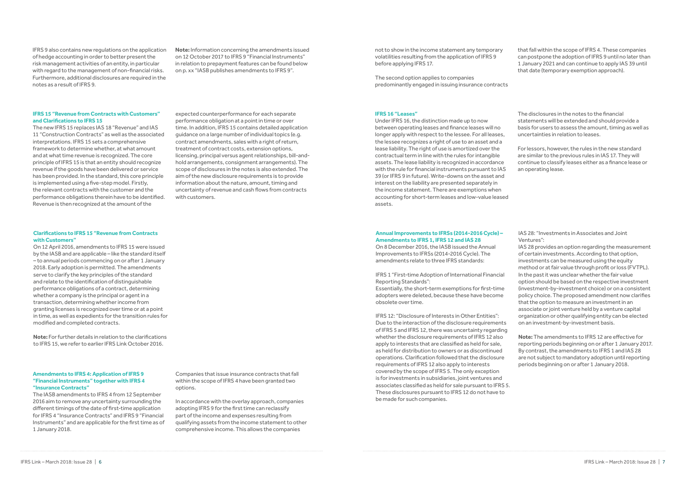IFRS 9 also contains new regulations on the application of hedge accounting in order to better present the risk management activities of an entity, in particular with regard to the management of non-financial risks. Furthermore, additional disclosures are required in the notes as a result of IFRS 9.

**Note:** Information concerning the amendments issued on 12 October 2017 to IFRS 9 "Financial Instruments" in relation to prepayment features can be found below on p. xx "IASB publishes amendments to IFRS 9".

#### **IFRS 15 "Revenue from Contracts with Customers" and Clarifications to IFRS 15**

The new IFRS 15 replaces IAS 18 "Revenue" and IAS 11 "Construction Contracts" as well as the associated interpretations. IFRS 15 sets a comprehensive framework to determine whether, at what amount and at what time revenue is recognized. The core principle of IFRS 15 is that an entity should recognize revenue if the goods have been delivered or service has been provided. In the standard, this core principle is implemented using a five-step model. Firstly, the relevant contracts with the customer and the performance obligations therein have to be identified. Revenue is then recognized at the amount of the

expected counterperformance for each separate performance obligation at a point in time or over time. In addition, IFRS 15 contains detailed application guidance on a large number of individual topics (e.g. contract amendments, sales with a right of return, treatment of contract costs, extension options, licensing, principal versus agent relationships, bill-andhold arrangements, consignment arrangements). The scope of disclosures in the notes is also extended. The aim of the new disclosure requirements is to provide information about the nature, amount, timing and uncertainty of revenue and cash flows from contracts with customers.

### **Clarifications to IFRS 15 "Revenue from Contracts with Customers"**

On 12 April 2016, amendments to IFRS 15 were issued by the IASB and are applicable – like the standard itself – to annual periods commencing on or after 1 January 2018. Early adoption is permitted. The amendments serve to clarify the key principles of the standard and relate to the identification of distinguishable performance obligations of a contract, determining whether a company is the principal or agent in a transaction, determining whether income from granting licenses is recognized over time or at a point in time, as well as expedients for the transition rules for modified and completed contracts.

**Note:** For further details in relation to the clarifications to IFRS 15, we refer to earlier IFRS Link October 2016.

### **Amendments to IFRS 4: Application of IFRS 9 "Financial Instruments" together with IFRS 4 "Insurance Contracts"**

The IASB amendments to IFRS 4 from 12 September 2016 aim to remove any uncertainty surrounding the different timings of the date of first-time application for IFRS 4 "Insurance Contracts" and IFRS 9 "Financial Instruments" and are applicable for the first time as of 1 January 2018.

Companies that issue insurance contracts that fall within the scope of IFRS 4 have been granted two options.

In accordance with the overlay approach, companies adopting IFRS 9 for the first time can reclassify part of the income and expenses resulting from qualifying assets from the income statement to other comprehensive income. This allows the companies

not to show in the income statement any temporary volatilities resulting from the application of IFRS 9 before applying IFRS 17.

The second option applies to companies predominantly engaged in issuing insurance contracts

that fall within the scope of IFRS 4. These companies can postpone the adoption of IFRS 9 until no later than 1 January 2021 and can continue to apply IAS 39 until that date (temporary exemption approach).

#### **IFRS 16 "Leases"**

Under IFRS 16, the distinction made up to now between operating leases and finance leases will no longer apply with respect to the lessee. For all leases, the lessee recognizes a right of use to an asset and a lease liability. The right of use is amortized over the contractual term in line with the rules for intangible assets. The lease liability is recognized in accordance with the rule for financial instruments pursuant to IAS 39 (or IFRS 9 in future). Write-downs on the asset and interest on the liability are presented separately in the income statement. There are exemptions when accounting for short-term leases and low-value leased assets.

The disclosures in the notes to the financial statements will be extended and should provide a basis for users to assess the amount, timing as well as uncertainties in relation to leases.

For lessors, however, the rules in the new standard are similar to the previous rules in IAS 17. They will continue to classify leases either as a finance lease or an operating lease.

### **Annual Improvements to IFRSs (2014-2016 Cycle) – Amendments to IFRS 1, IFRS 12 and IAS 28**

On 8 December 2016, the IASB issued the Annual Improvements to IFRSs (2014-2016 Cycle). The amendments relate to three IFRS standards:

IFRS 1 "First-time Adoption of International Financial Reporting Standards":

Essentially, the short-term exemptions for first-time adopters were deleted, because these have become obsolete over time.

IFRS 12: "Disclosure of Interests in Other Entities": Due to the interaction of the disclosure requirements of IFRS 5 and IFRS 12, there was uncertainty regarding whether the disclosure requirements of IFRS 12 also apply to interests that are classified as held for sale, as held for distribution to owners or as discontinued operations. Clarification followed that the disclosure requirements of IFRS 12 also apply to interests covered by the scope of IFRS 5. The only exception is for investments in subsidiaries, joint ventures and associates classified as held for sale pursuant to IFRS 5. These disclosures pursuant to IFRS 12 do not have to be made for such companies.

IAS 28: "Investments in Associates and Joint Ventures":

IAS 28 provides an option regarding the measurement of certain investments. According to that option, investments can be measured using the equity method or at fair value through profit or loss (FVTPL). In the past it was unclear whether the fair value option should be based on the respective investment (investment-by-investment choice) or on a consistent policy choice. The proposed amendment now clarifies that the option to measure an investment in an associate or joint venture held by a venture capital organization or other qualifying entity can be elected on an investment-by-investment basis.

**Note:** The amendments to IFRS 12 are effective for reporting periods beginning on or after 1 January 2017. By contrast, the amendments to IFRS 1 and IAS 28 are not subject to mandatory adoption until reporting periods beginning on or after 1 January 2018.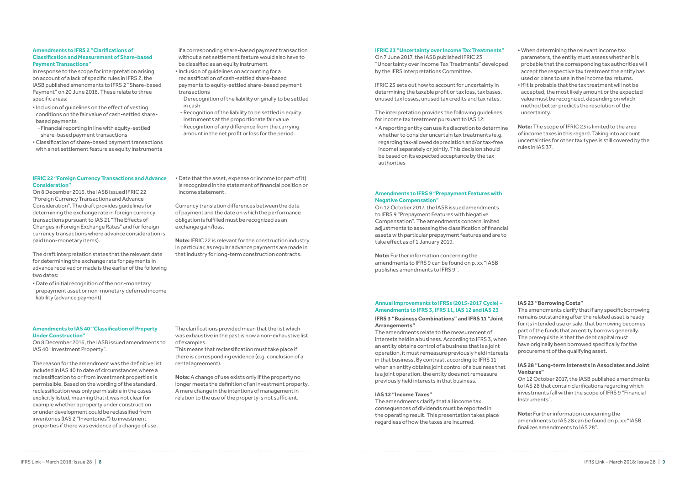### **Amendments to IFRS 2 "Clarifications of Classification and Measurement of Share-based Payment Transactions"**

In response to the scope for interpretation arising on account of a lack of specific rules in IFRS 2, the IASB published amendments to IFRS 2 "Share-based Payment" on 20 June 2016. These relate to three specific areas:

- Inclusion of guidelines on the effect of vesting conditions on the fair value of cash-settled sharebased payments
- -Financial reporting in line with equity-settled share-based payment transactions
- •Classification of share-based payment transactions with a net settlement feature as equity instruments

if a corresponding share-based payment transaction without a net settlement feature would also have to be classified as an equity instrument

**IFRIC 22 "Foreign Currency Transactions and Advance** 

**Consideration"**

- Inclusion of guidelines on accounting for a reclassification of cash-settled share-based payments to equity-settled share-based payment transactions
- -Derecognition of the liability originally to be settled in cash
- -Recognition of the liability to be settled in equity instruments at the proportionate fair value
- -Recognition of any difference from the carrying amount in the net profit or loss for the period.
- Date that the asset, expense or income (or part of it) is recognized in the statement of financial position or income statement.

On 8 December 2016, the IASB issued IFRIC 22 "Foreign Currency Transactions and Advance Consideration". The draft provides guidelines for determining the exchange rate in foreign currency transactions pursuant to IAS 21 "The Effects of Changes in Foreign Exchange Rates" and for foreign currency transactions where advance consideration is

paid (non-monetary items).

The draft interpretation states that the relevant date for determining the exchange rate for payments in advance received or made is the earlier of the following two dates:

• Date of initial recognition of the non-monetary prepayment asset or non-monetary deferred income liability (advance payment)

Currency translation differences between the date of payment and the date on which the performance obligation is fulfilled must be recognized as an exchange gain/loss.

**Note:** IFRIC 22 is relevant for the construction industry in particular, as regular advance payments are made in that industry for long-term construction contracts.

### **Amendments to IAS 40 "Classification of Property Under Construction"**

On 8 December 2016, the IASB issued amendments to IAS 40 "Investment Property".

The reason for the amendment was the definitive list included in IAS 40 to date of circumstances where a reclassification to or from investment properties is permissible. Based on the wording of the standard, reclassification was only permissible in the cases explicitly listed, meaning that it was not clear for example whether a property under construction or under development could be reclassified from inventories (IAS 2 "Inventories") to investment properties if there was evidence of a change of use.

The clarifications provided mean that the list which was exhaustive in the past is now a non-exhaustive list of examples.

This means that reclassification must take place if there is corresponding evidence (e.g. conclusion of a rental agreement).

**Note:** A change of use exists only if the property no longer meets the definition of an investment property. A mere change in the intentions of management in relation to the use of the property is not sufficient.

### **IFRIC 23 "Uncertainty over Income Tax Treatments"**

On 7 June 2017, the IASB published IFRIC 23 "Uncertainty over Income Tax Treatments" developed by the IFRS Interpretations Committee.

IFRIC 23 sets out how to account for uncertainty in determining the taxable profit or tax loss, tax bases, unused tax losses, unused tax credits and tax rates.

The interpretation provides the following guidelines for income tax treatment pursuant to IAS 12:

• A reporting entity can use its discretion to determine whether to consider uncertain tax treatments (e.g. regarding tax-allowed depreciation and/or tax-free income) separately or jointly. This decision should be based on its expected acceptance by the tax authorities

- When determining the relevant income tax parameters, the entity must assess whether it is probable that the corresponding tax authorities will accept the respective tax treatment the entity has used or plans to use in the income tax returns.
- If it is probable that the tax treatment will not be accepted, the most likely amount or the expected value must be recognized, depending on which method better predicts the resolution of the uncertainty.

**Note:** The scope of IFRIC 23 is limited to the area of income taxes in this regard. Taking into account uncertainties for other tax types is still covered by the rules in IAS 37.

### **Amendments to IFRS 9 "Prepayment Features with Negative Compensation"**

On 12 October 2017, the IASB issued amendments to IFRS 9 "Prepayment Features with Negative Compensation". The amendments concern limited adjustments to assessing the classification of financial assets with particular prepayment features and are to take effect as of 1 January 2019.

**Note:** Further information concerning the amendments to IFRS 9 can be found on p. xx "IASB publishes amendments to IFRS 9".

### **Annual Improvements to IFRSs (2015-2017 Cycle) – Amendments to IFRS 3, IFRS 11, IAS 12 and IAS 23**

### **IFRS 3 "Business Combinations" and IFRS 11 "Joint Arrangements"**

The amendments relate to the measurement of interests held in a business. According to IFRS 3, when an entity obtains control of a business that is a joint operation, it must remeasure previously held interests in that business. By contrast, according to IFRS 11 when an entity obtains joint control of a business that is a joint operation, the entity does not remeasure previously held interests in that business.

### **IAS 12 "Income Taxes"**

The amendments clarify that all income tax consequences of dividends must be reported in the operating result. This presentation takes place regardless of how the taxes are incurred.

### **IAS 23 "Borrowing Costs"**

The amendments clarify that if any specific borrowing remains outstanding after the related asset is ready for its intended use or sale, that borrowing becomes part of the funds that an entity borrows generally. The prerequisite is that the debt capital must have originally been borrowed specifically for the procurement of the qualifying asset.

### **IAS 28 "Long-term Interests in Associates and Joint Ventures"**

On 12 October 2017, the IASB published amendments to IAS 28 that contain clarifications regarding which investments fall within the scope of IFRS 9 "Financial Instruments".

**Note:** Further information concerning the amendments to IAS 28 can be found on p. xx "IASB finalizes amendments to IAS 28".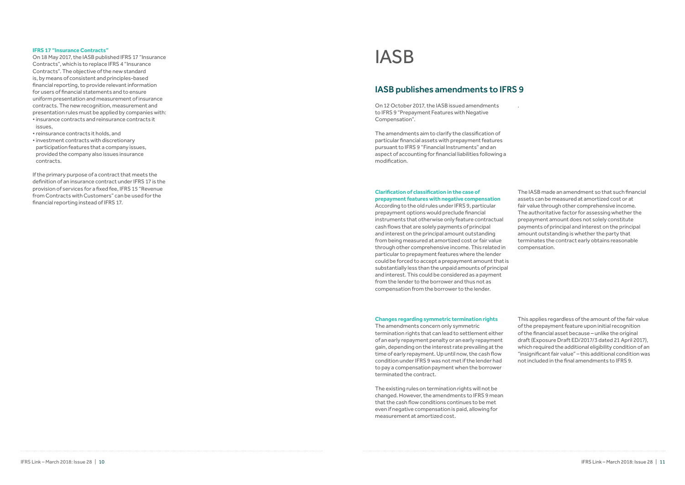### **IFRS 17 "Insurance Contracts"**

On 18 May 2017, the IASB published IFRS 17 "Insurance Contracts", which is to replace IFRS 4 "Insurance Contracts". The objective of the new standard is, by means of consistent and principles-based financial reporting, to provide relevant information for users of financial statements and to ensure uniform presentation and measurement of insurance contracts. The new recognition, measurement and presentation rules must be applied by companies with: • insurance contracts and reinsurance contracts it issues,

- reinsurance contracts it holds, and
- investment contracts with discretionary participation features that a company issues, provided the company also issues insurance contracts.

If the primary purpose of a contract that meets the definition of an insurance contract under IFRS 17 is the provision of services for a fixed fee, IFRS 15 "Revenue from Contracts with Customers" can be used for the financial reporting instead of IFRS 17.

On 12 October 2017, the IASB issued amendments to IFRS 9 "Prepayment Features with Negative Compensation".

The amendments aim to clarify the classification of particular financial assets with prepayment features pursuant to IFRS 9 "Financial Instruments" and an aspect of accounting for financial liabilities following a modification.

.

# IASB

### IASB publishes amendments to IFRS 9

### **Clarification of classification in the case of prepayment features with negative compensation**

According to the old rules under IFRS 9, particular prepayment options would preclude financial instruments that otherwise only feature contractual cash flows that are solely payments of principal and interest on the principal amount outstanding from being measured at amortized cost or fair value through other comprehensive income. This related in particular to prepayment features where the lender could be forced to accept a prepayment amount that is substantially less than the unpaid amounts of principal and interest. This could be considered as a payment from the lender to the borrower and thus not as compensation from the borrower to the lender.

The IASB made an amendment so that such financial assets can be measured at amortized cost or at fair value through other comprehensive income. The authoritative factor for assessing whether the prepayment amount does not solely constitute payments of principal and interest on the principal amount outstanding is whether the party that terminates the contract early obtains reasonable compensation.

### **Changes regarding symmetric termination rights**

The amendments concern only symmetric termination rights that can lead to settlement either of an early repayment penalty or an early repayment gain, depending on the interest rate prevailing at the time of early repayment. Up until now, the cash flow condition under IFRS 9 was not met if the lender had to pay a compensation payment when the borrower terminated the contract.

The existing rules on termination rights will not be changed. However, the amendments to IFRS 9 mean that the cash flow conditions continues to be met even if negative compensation is paid, allowing for measurement at amortized cost.

This applies regardless of the amount of the fair value of the prepayment feature upon initial recognition of the financial asset because – unlike the original draft (Exposure Draft ED/2017/3 dated 21 April 2017), which required the additional eligibility condition of an "insignificant fair value" – this additional condition was not included in the final amendments to IFRS 9.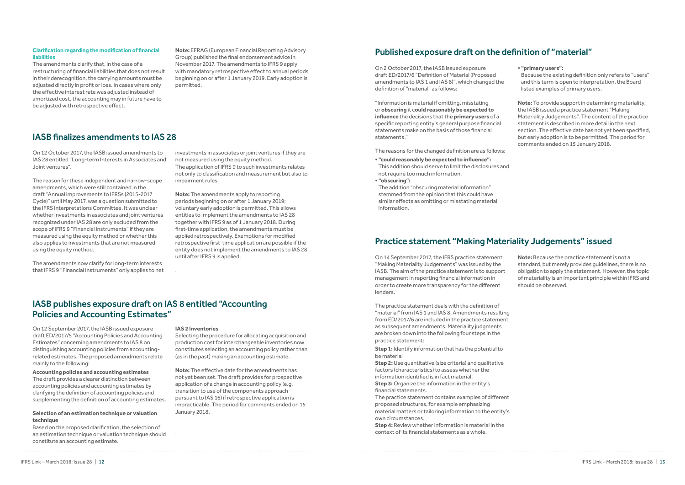### **Clarification regarding the modification of financial liabilities**

The amendments clarify that, in the case of a restructuring of financial liabilities that does not result in their derecognition, the carrying amounts must be adjusted directly in profit or loss. In cases where only the effective interest rate was adjusted instead of amortized cost, the accounting may in future have to be adjusted with retrospective effect.

**Note:** EFRAG (European Financial Reporting Advisory Group) published the final endorsement advice in November 2017. The amendments to IFRS 9 apply with mandatory retrospective effect to annual periods beginning on or after 1 January 2019. Early adoption is permitted.

On 12 October 2017, the IASB issued amendments to IAS 28 entitled "Long-term Interests in Associates and Joint ventures".

The reason for these independent and narrow-scope amendments, which were still contained in the draft "Annual improvements to IFRSs (2015-2017 Cycle)" until May 2017, was a question submitted to the IFRS Interpretations Committee. It was unclear whether investments in associates and joint ventures recognized under IAS 28 are only excluded from the scope of IFRS 9 "Financial Instruments" if they are measured using the equity method or whether this also applies to investments that are not measured using the equity method.

The amendments now clarify for long-term interests that IFRS 9 "Financial Instruments" only applies to net

investments in associates or joint ventures if they are not measured using the equity method. The application of IFRS 9 to such investments relates not only to classification and measurement but also to impairment rules.

**Note:** The amendments apply to reporting periods beginning on or after 1 January 2019; voluntary early adoption is permitted. This allows entities to implement the amendments to IAS 28 together with IFRS 9 as of 1 January 2018. During first-time application, the amendments must be applied retrospectively. Exemptions for modified retrospective first-time application are possible if the entity does not implement the amendments to IAS 28 until after IFRS 9 is applied.

.

### IASB finalizes amendments to IAS 28

On 12 September 2017, the IASB issued exposure draft ED/2017/5 "Accounting Policies and Accounting Estimates" concerning amendments to IAS 8 on distinguishing accounting policies from accountingrelated estimates. The proposed amendments relate mainly to the following:

**Accounting policies and accounting estimates** The draft provides a clearer distinction between accounting policies and accounting estimates by clarifying the definition of accounting policies and supplementing the definition of accounting estimates. **Step 1:** Identify information that has the potential to be material

### **Selection of an estimation technique or valuation technique**

Based on the proposed clarification, the selection of an estimation technique or valuation technique should constitute an accounting estimate.

### **IAS 2 Inventories**

Selecting the procedure for allocating acquisition and production cost for interchangeable inventories now constitutes selecting an accounting policy rather than (as in the past) making an accounting estimate.

**Note:** The effective date for the amendments has not yet been set. The draft provides for prospective application of a change in accounting policy (e.g. transition to use of the components approach pursuant to IAS 16) if retrospective application is impracticable. The period for comments ended on 15 January 2018.

.

## IASB publishes exposure draft on IAS 8 entitled "Accounting Policies and Accounting Estimates"

On 2 October 2017, the IASB issued exposure draft ED/2017/6 "Definition of Material (Proposed amendments to IAS 1 and IAS 8)", which changed the definition of "material" as follows:

"Information is material if omitting, misstating or **obscuring** it c**ould reasonably be expected to influence** the decisions that the **primary users** of a specific reporting entity's general purpose financial statements make on the basis of those financial statements."

The reasons for the changed definition are as follows:

- **• "could reasonably be expected to influence":** This addition should serve to limit the disclosures and not require too much information.
- **• "obscuring":**

The addition "obscuring material information" stemmed from the opinion that this could have similar effects as omitting or misstating material information.

### **• "primary users":**

Because the existing definition only refers to "users" and this term is open to interpretation, the Board listed examples of primary users.

**Note:** To provide support in determining materiality, the IASB issued a practice statement "Making Materiality Judgements". The content of the practice statement is described in more detail in the next section. The effective date has not yet been specified, but early adoption is to be permitted. The period for comments ended on 15 January 2018.

## Published exposure draft on the definition of "material"

On 14 September 2017, the IFRS practice statement "Making Materiality Judgements" was issued by the IASB. The aim of the practice statement is to support management in reporting financial information in order to create more transparency for the different lenders.

The practice statement deals with the definition of "material" from IAS 1 and IAS 8. Amendments resulting from ED/2017/6 are included in the practice statement as subsequent amendments. Materiality judgments are broken down into the following four steps in the practice statement:

**Step 2:** Use quantitative (size criteria) and qualitative factors (characteristics) to assess whether the information identified is in fact material.

**Step 3:** Organize the information in the entity's financial statements.

The practice statement contains examples of different proposed structures, for example emphasizing material matters or tailoring information to the entity's own circumstances.

**Step 4:** Review whether information is material in the context of its financial statements as a whole.

**Note:** Because the practice statement is not a standard, but merely provides guidelines, there is no obligation to apply the statement. However, the topic of materiality is an important principle within IFRS and should be observed.

## Practice statement "Making Materiality Judgements" issued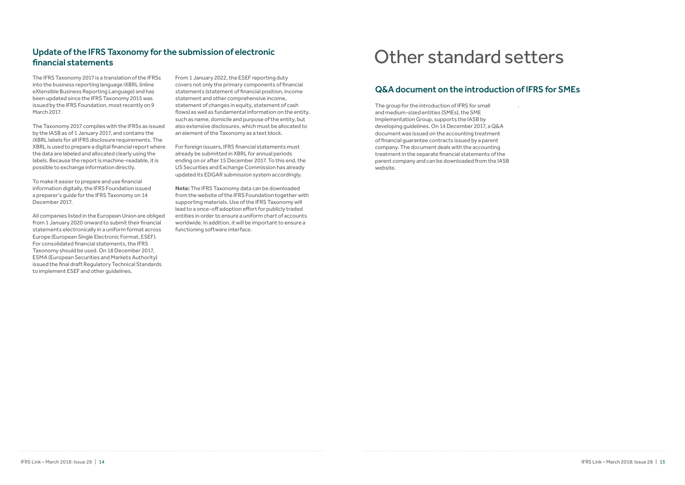The IFRS Taxonomy 2017 is a translation of the IFRSs into the business reporting language iXBRL (inline eXtensible Business Reporting Language) and has been updated since the IFRS Taxonomy 2015 was issued by the IFRS Foundation, most recently on 9 March 2017.

The Taxonomy 2017 complies with the IFRSs as issued by the IASB as of 1 January 2017, and contains the iXBRL labels for all IFRS disclosure requirements. The XBRL is used to prepare a digital financial report where the data are labeled and allocated clearly using the labels. Because the report is machine-readable, it is possible to exchange information directly.

To make it easier to prepare and use financial information digitally, the IFRS Foundation issued a preparer's guide for the IFRS Taxonomy on 14 December 2017.

All companies listed in the European Union are obliged from 1 January 2020 onward to submit their financial statements electronically in a uniform format across Europe (European Single Electronic Format, ESEF). For consolidated financial statements, the IFRS Taxonomy should be used. On 18 December 2017, ESMA (European Securities and Markets Authority) issued the final draft Regulatory Technical Standards to implement ESEF and other guidelines.

From 1 January 2022, the ESEF reporting duty covers not only the primary components of financial statements (statement of financial position, income statement and other comprehensive income, statement of changes in equity, statement of cash flows) as well as fundamental information on the entity, such as name, domicile and purpose of the entity, but also extensive disclosures, which must be allocated to an element of the Taxonomy as a text block.

For foreign issuers, IFRS financial statements must already be submitted in XBRL for annual periods ending on or after 15 December 2017. To this end, the US Securities and Exchange Commission has already updated its EDGAR submission system accordingly.

**Note:** The IFRS Taxonomy data can be downloaded from the website of the IFRS Foundation together with supporting materials. Use of the IFRS Taxonomy will lead to a once-off adoption effort for publicly traded entities in order to ensure a uniform chart of accounts worldwide. In addition, it will be important to ensure a functioning software interface.

## Update of the IFRS Taxonomy for the submission of electronic financial statements

The group for the introduction of IFRS for small and medium-sized entities (SMEs), the SME Implementation Group, supports the IASB by developing guidelines. On 14 December 2017, a Q&A document was issued on the accounting treatment of financial guarantee contracts issued by a parent company. The document deals with the accounting treatment in the separate financial statements of the parent company and can be downloaded from the IASB website.

.

 $\textsf{IFRS Link} - \textsf{March 2018:}$  Issue 28  $\parallel$  14 IFRS Link – March 2018: Issue 28  $\parallel$  15

# Other standard setters

## Q&A document on the introduction of IFRS for SMEs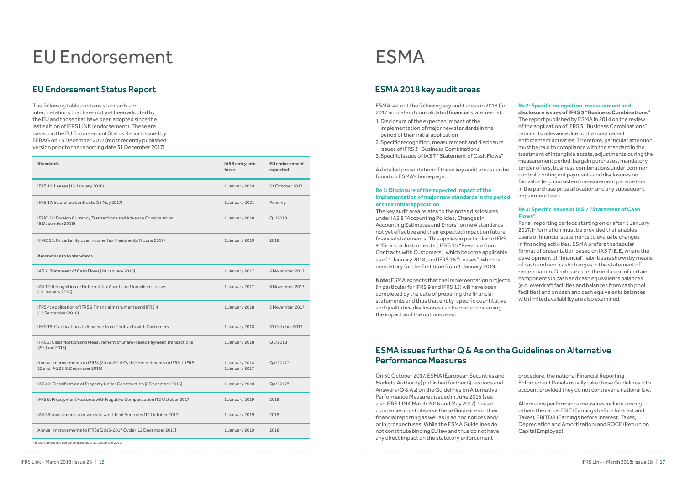The following table contains standards and interpretations that have not yet been adopted by the EU and those that have been adopted since the last edition of IFRS LINK (endorsement). These are based on the EU Endorsement Status Report issued by EFRAG on 15 December 2017 (most recently published version prior to the reporting date 31 December 2017)

.

# EU Endorsement

## EU Endorsement Status Report

| <b>Standards</b>                                                                                              | IASB entry into<br>force         | <b>EU</b> endorsement<br>expected |
|---------------------------------------------------------------------------------------------------------------|----------------------------------|-----------------------------------|
| IFRS 16: Leases (13 January 2016)                                                                             | 1 January 2019                   | 31 October 2017                   |
| IFRS 17: Insurance Contracts (18 May 2017)                                                                    | 1 January 2021                   | Pending                           |
| IFRIC 22: Foreign Currency Transactions and Advance Consideration<br>(8 December 2016)                        | 1 January 2018                   | Q1/2018                           |
| IFRIC 23: Uncertainty over Income Tax Treatments (7 June 2017)                                                | 1 January 2019                   | 2018                              |
| <b>Amendments to standards</b>                                                                                |                                  |                                   |
| IAS 7: Statement of Cash Flows (29 January 2016)                                                              | 1 January 2017                   | 6 November 2017                   |
| IAS 12: Recognition of Deferred Tax Assets for Unrealised Losses<br>(19 January 2016)                         | 1 January 2017                   | 6 November 2017                   |
| IFRS 4: Application of IFRS 9 Financial Instruments and IFRS 4<br>(12 September 2016)                         | 1 January 2018                   | 3 November 2017                   |
| IFRS 15: Clarifications to Revenue from Contracts with Customers                                              | 1 January 2018                   | 31 October 2017                   |
| IFRS 2: Classification and Measurement of Share-based Payment Transactions<br>(20 June 2016)                  | 1 January 2018                   | Q1/2018                           |
| Annual Improvements to IFRSs (2014-2016 Cycle): Amendments to IFRS 1, IFRS<br>12 and IAS 28 (8 December 2016) | 1 January 2018<br>1 January 2017 | Q4/2017*                          |
| IAS 40: Classification of Property Under Construction (8 December 2016)                                       | 1 January 2018                   | Q4/2017*                          |
| IFRS 9: Prepayment Features with Negative Compensation (12 October 2017)                                      | 1 January 2019                   | 2018                              |
| IAS 28: Investments in Associates and Joint Ventures (12 October 2017)                                        | 1 January 2019                   | 2018                              |
| Annual Improvements to IFRSs (2015-2017 Cycle) (12 December 2017)                                             | 1 January 2019                   | 2018                              |
| Endorcoment had not taken place as of 21 December 2017                                                        |                                  |                                   |

\* Endorsement had not taken place as of 31 December 2017.

ESMA set out the following key audit areas in 2018 (for 2017 annual and consolidated financial statements):

- 1.Disclosure of the expected impact of the implementation of major new standards in the period of their initial application
- 2.Specific recognition, measurement and disclosure issues of IFRS 3 "Business Combinations"
- 3.Specific issues of IAS 7 "Statement of Cash Flows"

A detailed presentation of these key audit areas can be found on ESMA's homepage.

### **Re 1: Disclosure of the expected impact of the implementation of major new standards in the period of their initial application**

The key audit area relates to the notes disclosures under IAS 8 "Accounting Policies, Changes in Accounting Estimates and Errors" on new standards not yet effective and their expected impact on future financial statements. This applies in particular to IFRS 9 "Financial Instruments", IFRS 15 "Revenue from Contracts with Customers", which become applicable as of 1 January 2018, and IFRS 16 "Leases", which is mandatory for the first time from 1 January 2019.

**Note:** ESMA expects that the implementation projects (in particular for IFRS 9 and IFRS 15) will have been completed by the date of preparing the financial statements and thus that entity-specific quantitative and qualitative disclosures can be made concerning the impact and the options used.

### **Re 2: Specific recognition, measurement and**

**disclosure issues of IFRS 3 "Business Combinations"** The report published by ESMA in 2014 on the review of the application of IFRS 3 "Business Combinations" retains its relevance due to the most recent enforcement activities. Therefore, particular attention must be paid to compliance with the standard in the treatment of intangible assets, adjustments during the measurement period, bargain purchases, mandatory tender offers, business combinations under common control, contingent payments and disclosures on fair value (e.g. consistent measurement parameters in the purchase price allocation and any subsequent impairment test).

### **Re 3: Specific issues of IAS 7 "Statement of Cash Flows"**

For all reporting periods starting on or after 1 January 2017, information must be provided that enables users of financial statements to evaluate changes in financing activities. ESMA prefers the tabular format of presentation based on IAS 7 IE.E, where the development of "financial" liabilities is shown by means of cash and non-cash changes in the statement of reconciliation. Disclosures on the inclusion of certain components in cash and cash equivalents balances (e.g. overdraft facilities and balances from cash pool facilities) and on cash and cash equivalents balances with limited availability are also examined.

# ESMA

### ESMA 2018 key audit areas

On 30 October 2017, ESMA (European Securities and Markets Authority) published further Questions and Answers (Q & As) on the Guidelines on Alternative Performance Measures issued in June 2015 (see also IFRS LINK March 2016 and May 2017). Listed companies must observe these Guidelines in their financial reporting as well as in ad hoc notices and/ or in prospectuses. While the ESMA Guidelines do not constitute binding EU law and thus do not have any direct impact on the statutory enforcement

procedure, the national Financial Reporting Enforcement Panels usually take these Guidelines into account provided they do not contravene national law.

Alternative performance measures include among others the ratios EBIT (Earnings before Interest and Taxes), EBITDA (Earnings before Interest, Taxes, Depreciation and Amortization) and ROCE (Return on Capital Employed).

## ESMA issues further Q & As on the Guidelines on Alternative Performance Measures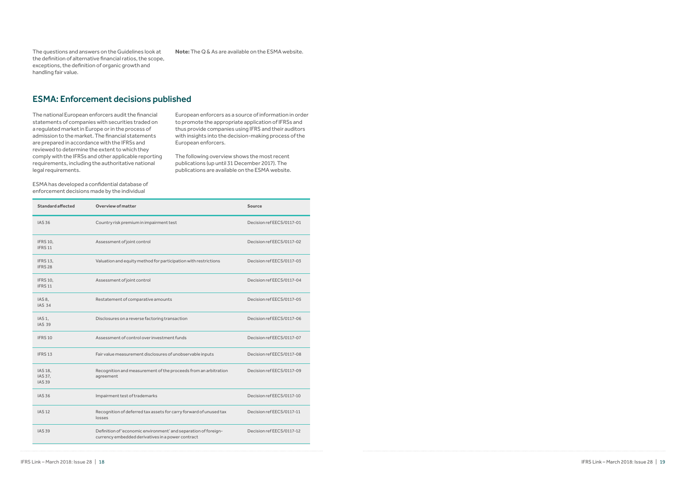IFRS Link – March 2018: Issue 28 | 18 IFRS Link – March 2018: Issue 28 | 19

The questions and answers on the Guidelines look at the definition of alternative financial ratios, the scope, exceptions, the definition of organic growth and handling fair value.

**Note:** The Q & As are available on the ESMA website.

The national European enforcers audit the financial statements of companies with securities traded on a regulated market in Europe or in the process of admission to the market. The financial statements are prepared in accordance with the IFRSs and reviewed to determine the extent to which they comply with the IFRSs and other applicable reporting requirements, including the authoritative national legal requirements.

ESMA has developed a confidential database of enforcement decisions made by the individual

European enforcers as a source of information in order to promote the appropriate application of IFRSs and thus provide companies using IFRS and their auditors with insights into the decision-making process of the European enforcers.

The following overview shows the most recent publications (up until 31 December 2017). The publications are available on the ESMA website.

## ESMA: Enforcement decisions published

| <b>Standard affected</b>              | <b>Overview of matter</b>                                                                                            | <b>Source</b>             |  |
|---------------------------------------|----------------------------------------------------------------------------------------------------------------------|---------------------------|--|
| <b>IAS 36</b>                         | Country risk premium in impairment test                                                                              | Decision refEECS/0117-01  |  |
| <b>IFRS 10,</b><br>IFRS <sub>11</sub> | Assessment of joint control                                                                                          | Decision refEECS/0117-02  |  |
| <b>IFRS 13.</b><br>IFRS <sub>28</sub> | Valuation and equity method for participation with restrictions                                                      | Decision refEECS/0117-03  |  |
| IFRS 10,<br>IFRS <sub>11</sub>        | Assessment of joint control                                                                                          | Decision refEECS/0117-04  |  |
| IAS 8,<br><b>IAS 34</b>               | Restatement of comparative amounts                                                                                   | Decision refEECS/0117-05  |  |
| IAS <sub>1</sub> ,<br><b>IAS 39</b>   | Disclosures on a reverse factoring transaction                                                                       | Decision refEECS/0117-06  |  |
| IFRS 10                               | Assessment of control over investment funds                                                                          | Decision refEECS/0117-07  |  |
| IFRS <sub>13</sub>                    | Fair value measurement disclosures of unobservable inputs                                                            | Decision refEECS/0117-08  |  |
| IAS 18.<br>IAS 37,<br><b>IAS 39</b>   | Recognition and measurement of the proceeds from an arbitration<br>agreement                                         | Decision ref EECS/0117-09 |  |
| <b>IAS 36</b>                         | Impairment test of trademarks                                                                                        | Decision refEECS/0117-10  |  |
| <b>IAS12</b>                          | Recognition of deferred tax assets for carry forward of unused tax<br>losses                                         | Decision refEECS/0117-11  |  |
| <b>IAS 39</b>                         | Definition of 'economic environment' and separation of foreign-<br>currency embedded derivatives in a power contract | Decision refEECS/0117-12  |  |